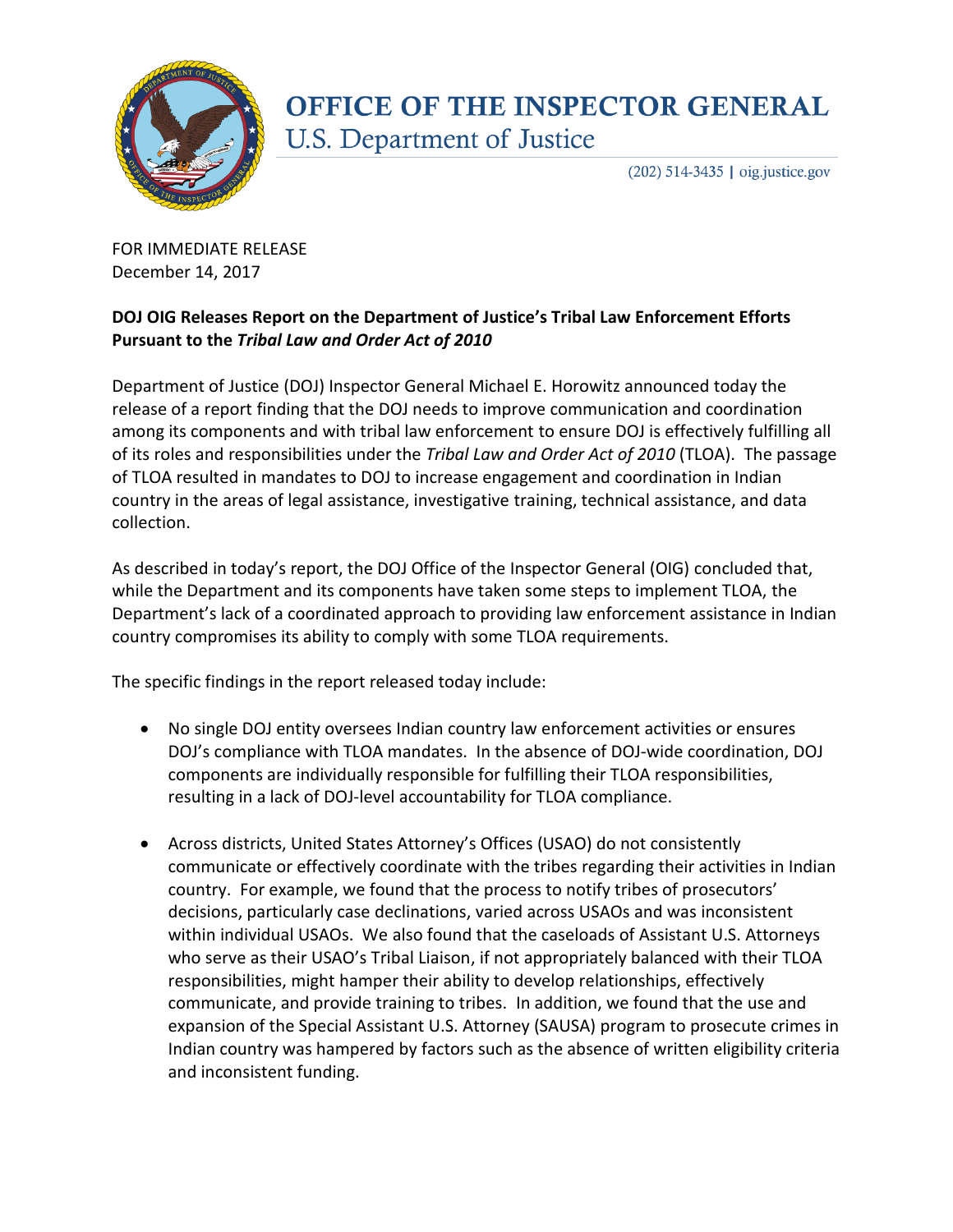

## **OFFICE OF THE INSPECTOR GENERAL U.S. Department of Justice**

 $(202)$  514-3435 | oig.justice.gov

FOR IMMEDIATE RELEASE December 14, 2017

## **DOJ OIG Releases Report on the Department of Justice's Tribal Law Enforcement Efforts Pursuant to the** *Tribal Law and Order Act of 2010*

Department of Justice (DOJ) Inspector General Michael E. Horowitz announced today the release of a report finding that the DOJ needs to improve communication and coordination among its components and with tribal law enforcement to ensure DOJ is effectively fulfilling all of its roles and responsibilities under the *Tribal Law and Order Act of 2010* (TLOA). The passage of TLOA resulted in mandates to DOJ to increase engagement and coordination in Indian country in the areas of legal assistance, investigative training, technical assistance, and data collection.

As described in today's report, the DOJ Office of the Inspector General (OIG) concluded that, while the Department and its components have taken some steps to implement TLOA, the Department's lack of a coordinated approach to providing law enforcement assistance in Indian country compromises its ability to comply with some TLOA requirements.

The specific findings in the report released today include:

- No single DOJ entity oversees Indian country law enforcement activities or ensures DOJ's compliance with TLOA mandates. In the absence of DOJ-wide coordination, DOJ components are individually responsible for fulfilling their TLOA responsibilities, resulting in a lack of DOJ-level accountability for TLOA compliance.
- Across districts, United States Attorney's Offices (USAO) do not consistently communicate or effectively coordinate with the tribes regarding their activities in Indian country.For example, we found that the process to notify tribes of prosecutors' decisions, particularly case declinations, varied across USAOs and was inconsistent within individual USAOs. We also found that the caseloads of Assistant U.S. Attorneys who serve as their USAO's Tribal Liaison, if not appropriately balanced with their TLOA responsibilities, might hamper their ability to develop relationships, effectively communicate, and provide training to tribes. In addition, we found that the use and expansion of the Special Assistant U.S. Attorney (SAUSA) program to prosecute crimes in Indian country was hampered by factors such as the absence of written eligibility criteria and inconsistent funding.